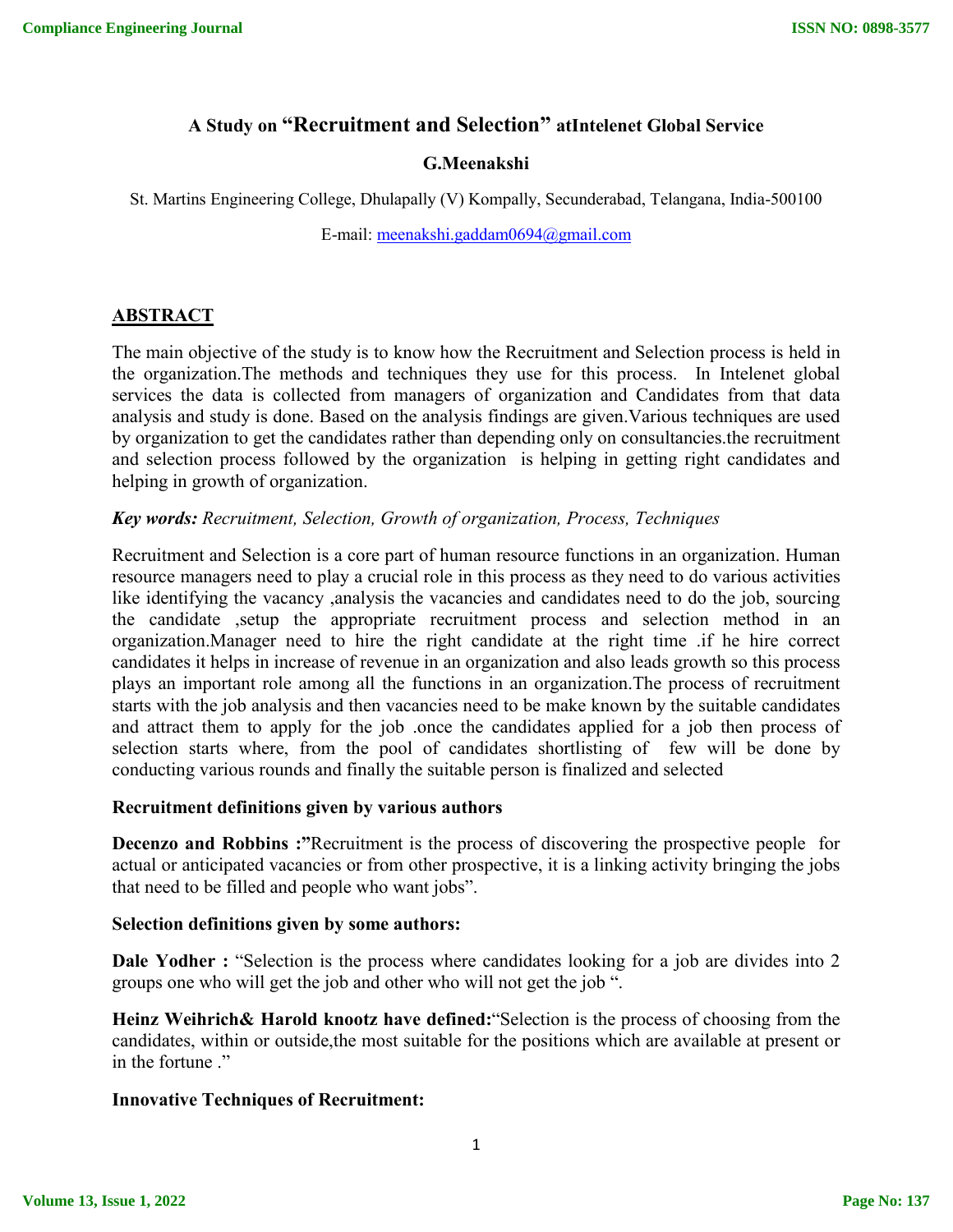# **A Study on "Recruitment and Selection" atIntelenet Global Service**

## **G.Meenakshi**

St. Martins Engineering College, Dhulapally (V) Kompally, Secunderabad, Telangana, India-500100

E-mail: meenakshi.gaddam0694@gmail.com

# **ABSTRACT**

The main objective of the study is to know how the Recruitment and Selection process is held in the organization.The methods and techniques they use for this process. In Intelenet global services the data is collected from managers of organization and Candidates from that data analysis and study is done. Based on the analysis findings are given.Various techniques are used by organization to get the candidates rather than depending only on consultancies.the recruitment and selection process followed by the organization is helping in getting right candidates and helping in growth of organization.

### *Key words: Recruitment, Selection, Growth of organization, Process, Techniques*

Recruitment and Selection is a core part of human resource functions in an organization. Human resource managers need to play a crucial role in this process as they need to do various activities like identifying the vacancy ,analysis the vacancies and candidates need to do the job, sourcing the candidate ,setup the appropriate recruitment process and selection method in an organization.Manager need to hire the right candidate at the right time .if he hire correct candidates it helps in increase of revenue in an organization and also leads growth so this process plays an important role among all the functions in an organization.The process of recruitment starts with the job analysis and then vacancies need to be make known by the suitable candidates and attract them to apply for the job .once the candidates applied for a job then process of selection starts where, from the pool of candidates shortlisting of few will be done by conducting various rounds and finally the suitable person is finalized and selected

#### **Recruitment definitions given by various authors**

**Decenzo and Robbins :**"Recruitment is the process of discovering the prospective people for actual or anticipated vacancies or from other prospective, it is a linking activity bringing the jobs that need to be filled and people who want jobs".

#### **Selection definitions given by some authors:**

**Dale Yodher :** "Selection is the process where candidates looking for a job are divides into 2 groups one who will get the job and other who will not get the job ".

**Heinz Weihrich& Harold knootz have defined:**"Selection is the process of choosing from the candidates, within or outside,the most suitable for the positions which are available at present or in the fortune ."

# **Innovative Techniques of Recruitment:**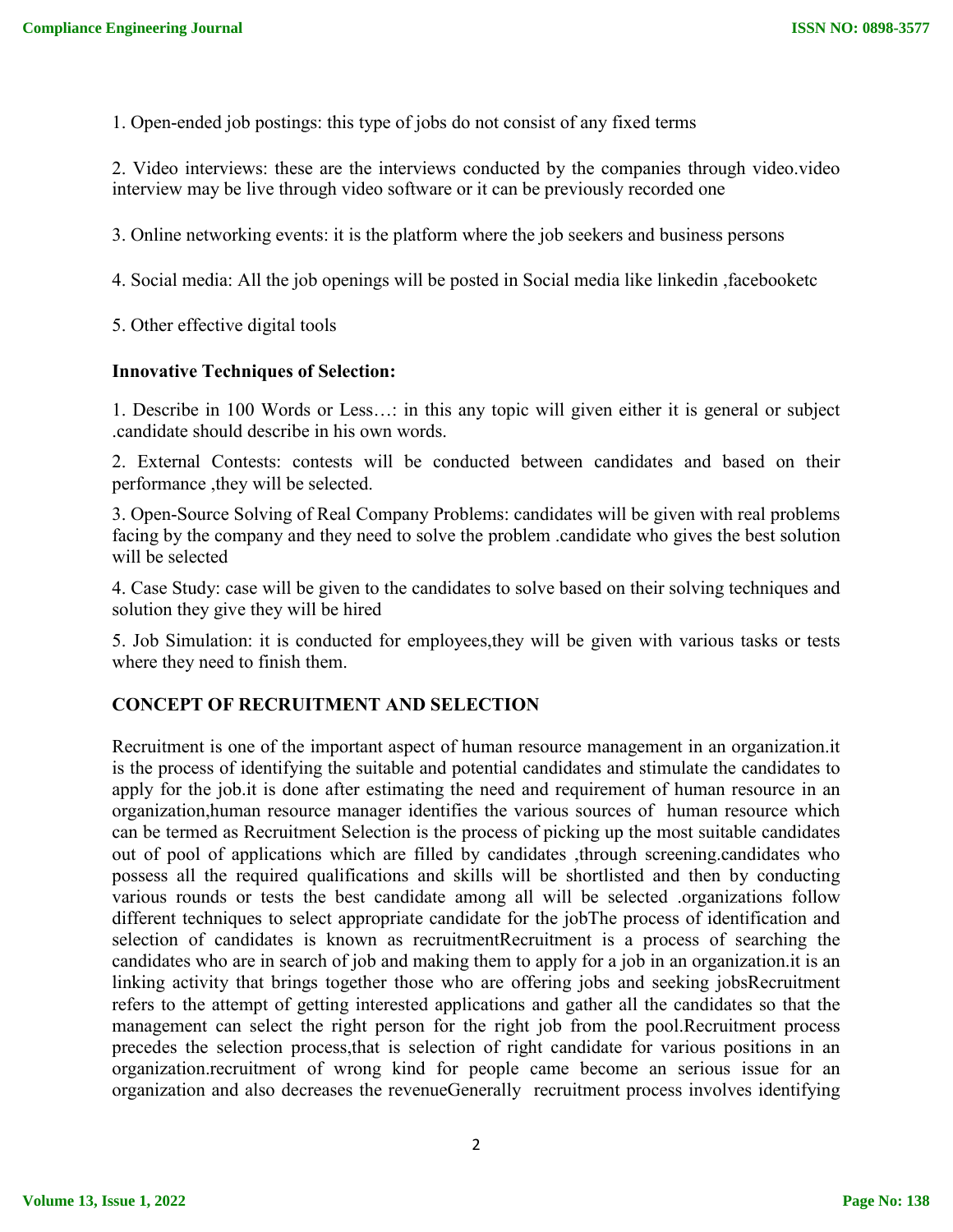1. Open-ended job postings: this type of jobs do not consist of any fixed terms

2. Video interviews: these are the interviews conducted by the companies through video.video interview may be live through video software or it can be previously recorded one

3. Online networking events: it is the platform where the job seekers and business persons

4. Social media: All the job openings will be posted in Social media like linkedin ,facebooketc

5. Other effective digital tools

### **Innovative Techniques of Selection:**

1. Describe in 100 Words or Less…: in this any topic will given either it is general or subject .candidate should describe in his own words.

2. External Contests: contests will be conducted between candidates and based on their performance ,they will be selected.

3. Open-Source Solving of Real Company Problems: candidates will be given with real problems facing by the company and they need to solve the problem .candidate who gives the best solution will be selected

4. Case Study: case will be given to the candidates to solve based on their solving techniques and solution they give they will be hired

5. Job Simulation: it is conducted for employees,they will be given with various tasks or tests where they need to finish them.

# **CONCEPT OF RECRUITMENT AND SELECTION**

Recruitment is one of the important aspect of human resource management in an organization.it is the process of identifying the suitable and potential candidates and stimulate the candidates to apply for the job.it is done after estimating the need and requirement of human resource in an organization,human resource manager identifies the various sources of human resource which can be termed as Recruitment Selection is the process of picking up the most suitable candidates out of pool of applications which are filled by candidates ,through screening.candidates who possess all the required qualifications and skills will be shortlisted and then by conducting various rounds or tests the best candidate among all will be selected .organizations follow different techniques to select appropriate candidate for the jobThe process of identification and selection of candidates is known as recruitmentRecruitment is a process of searching the candidates who are in search of job and making them to apply for a job in an organization.it is an linking activity that brings together those who are offering jobs and seeking jobsRecruitment refers to the attempt of getting interested applications and gather all the candidates so that the management can select the right person for the right job from the pool.Recruitment process precedes the selection process,that is selection of right candidate for various positions in an organization.recruitment of wrong kind for people came become an serious issue for an organization and also decreases the revenueGenerally recruitment process involves identifying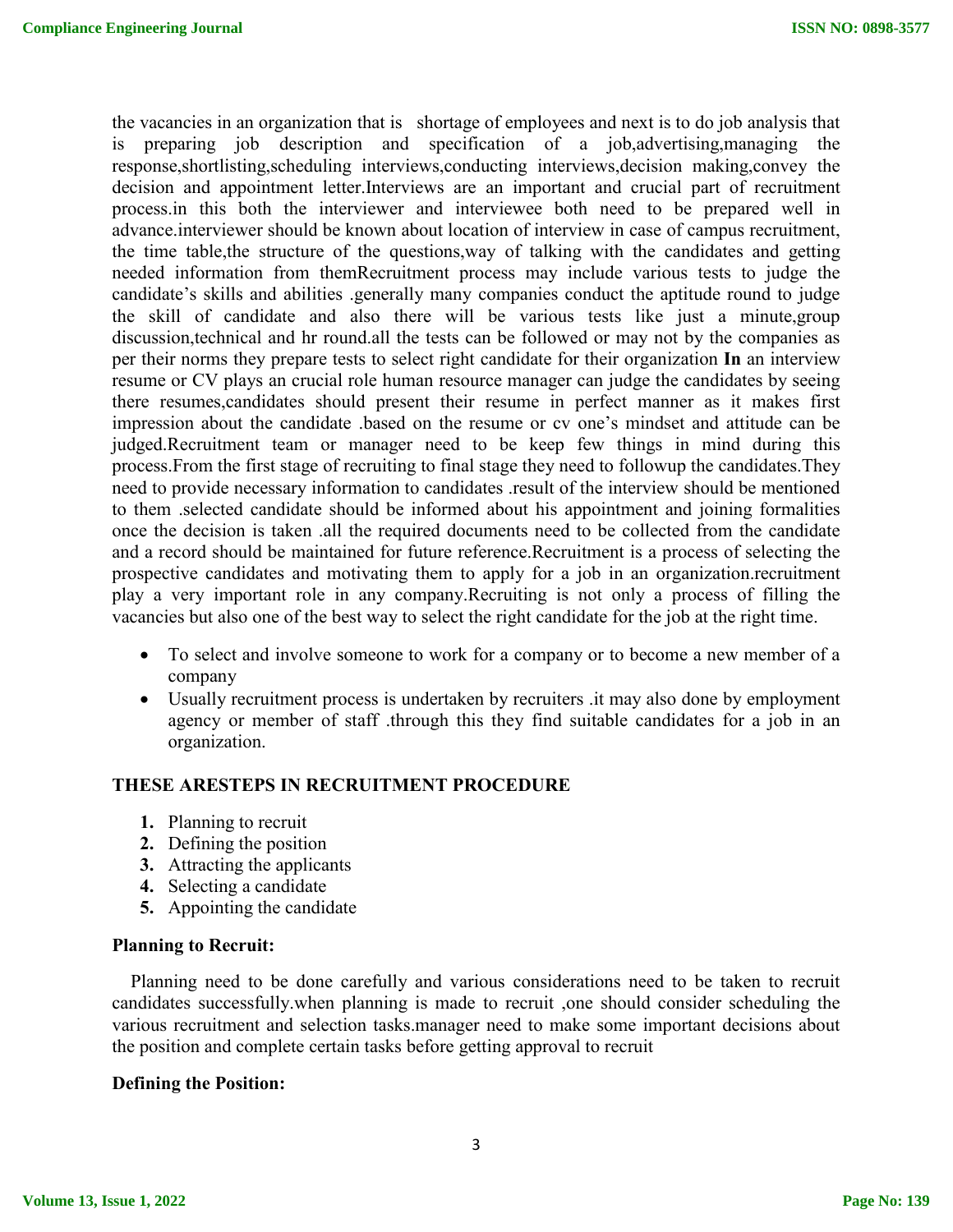the vacancies in an organization that is shortage of employees and next is to do job analysis that is preparing job description and specification of a job,advertising,managing the response,shortlisting,scheduling interviews,conducting interviews,decision making,convey the decision and appointment letter.Interviews are an important and crucial part of recruitment process.in this both the interviewer and interviewee both need to be prepared well in advance.interviewer should be known about location of interview in case of campus recruitment, the time table,the structure of the questions,way of talking with the candidates and getting needed information from themRecruitment process may include various tests to judge the candidate's skills and abilities .generally many companies conduct the aptitude round to judge the skill of candidate and also there will be various tests like just a minute,group discussion,technical and hr round.all the tests can be followed or may not by the companies as per their norms they prepare tests to select right candidate for their organization **In** an interview resume or CV plays an crucial role human resource manager can judge the candidates by seeing there resumes,candidates should present their resume in perfect manner as it makes first impression about the candidate .based on the resume or cv one's mindset and attitude can be judged.Recruitment team or manager need to be keep few things in mind during this process.From the first stage of recruiting to final stage they need to followup the candidates.They need to provide necessary information to candidates .result of the interview should be mentioned to them .selected candidate should be informed about his appointment and joining formalities once the decision is taken .all the required documents need to be collected from the candidate and a record should be maintained for future reference.Recruitment is a process of selecting the prospective candidates and motivating them to apply for a job in an organization.recruitment play a very important role in any company.Recruiting is not only a process of filling the vacancies but also one of the best way to select the right candidate for the job at the right time.

- To select and involve someone to work for a company or to become a new member of a company
- Usually recruitment process is undertaken by recruiters .it may also done by employment agency or member of staff .through this they find suitable candidates for a job in an organization.

#### **THESE ARESTEPS IN RECRUITMENT PROCEDURE**

- **1.** Planning to recruit
- **2.** Defining the position
- **3.** Attracting the applicants
- **4.** Selecting a candidate
- **5.** Appointing the candidate

#### **Planning to Recruit:**

Planning need to be done carefully and various considerations need to be taken to recruit candidates successfully.when planning is made to recruit ,one should consider scheduling the various recruitment and selection tasks.manager need to make some important decisions about the position and complete certain tasks before getting approval to recruit

# **Defining the Position:**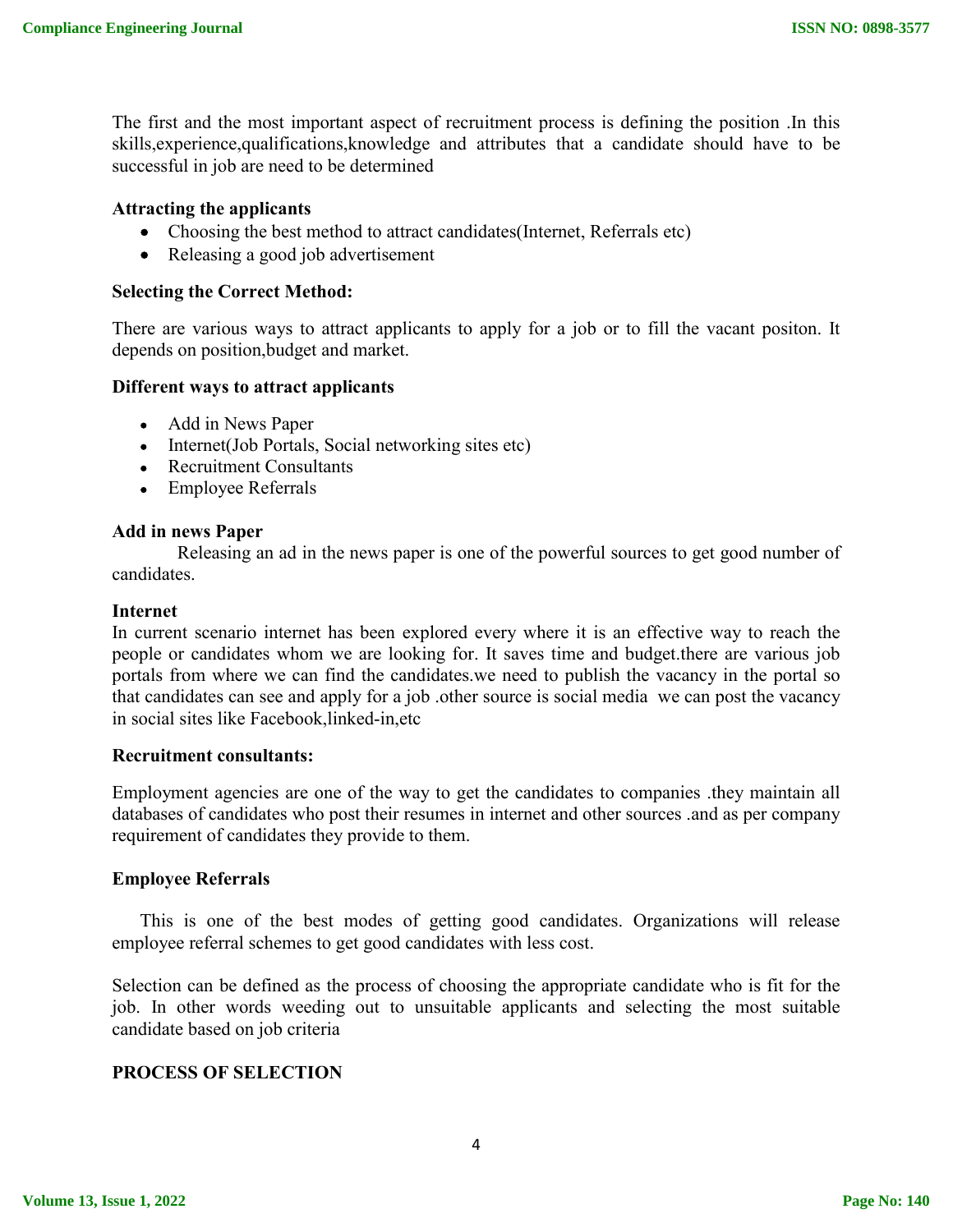The first and the most important aspect of recruitment process is defining the position .In this skills,experience,qualifications,knowledge and attributes that a candidate should have to be successful in job are need to be determined

### **Attracting the applicants**

- Choosing the best method to attract candidates(Internet, Referrals etc)
- Releasing a good job advertisement

### **Selecting the Correct Method:**

There are various ways to attract applicants to apply for a job or to fill the vacant positon. It depends on position,budget and market.

#### **Different ways to attract applicants**

- Add in News Paper
- Internet(Job Portals, Social networking sites etc)
- Recruitment Consultants
- Employee Referrals

#### **Add in news Paper**

 Releasing an ad in the news paper is one of the powerful sources to get good number of candidates.

#### **Internet**

In current scenario internet has been explored every where it is an effective way to reach the people or candidates whom we are looking for. It saves time and budget.there are various job portals from where we can find the candidates.we need to publish the vacancy in the portal so that candidates can see and apply for a job .other source is social media we can post the vacancy in social sites like Facebook,linked-in,etc

#### **Recruitment consultants:**

Employment agencies are one of the way to get the candidates to companies .they maintain all databases of candidates who post their resumes in internet and other sources .and as per company requirement of candidates they provide to them.

#### **Employee Referrals**

 This is one of the best modes of getting good candidates. Organizations will release employee referral schemes to get good candidates with less cost.

Selection can be defined as the process of choosing the appropriate candidate who is fit for the job. In other words weeding out to unsuitable applicants and selecting the most suitable candidate based on job criteria

#### **PROCESS OF SELECTION**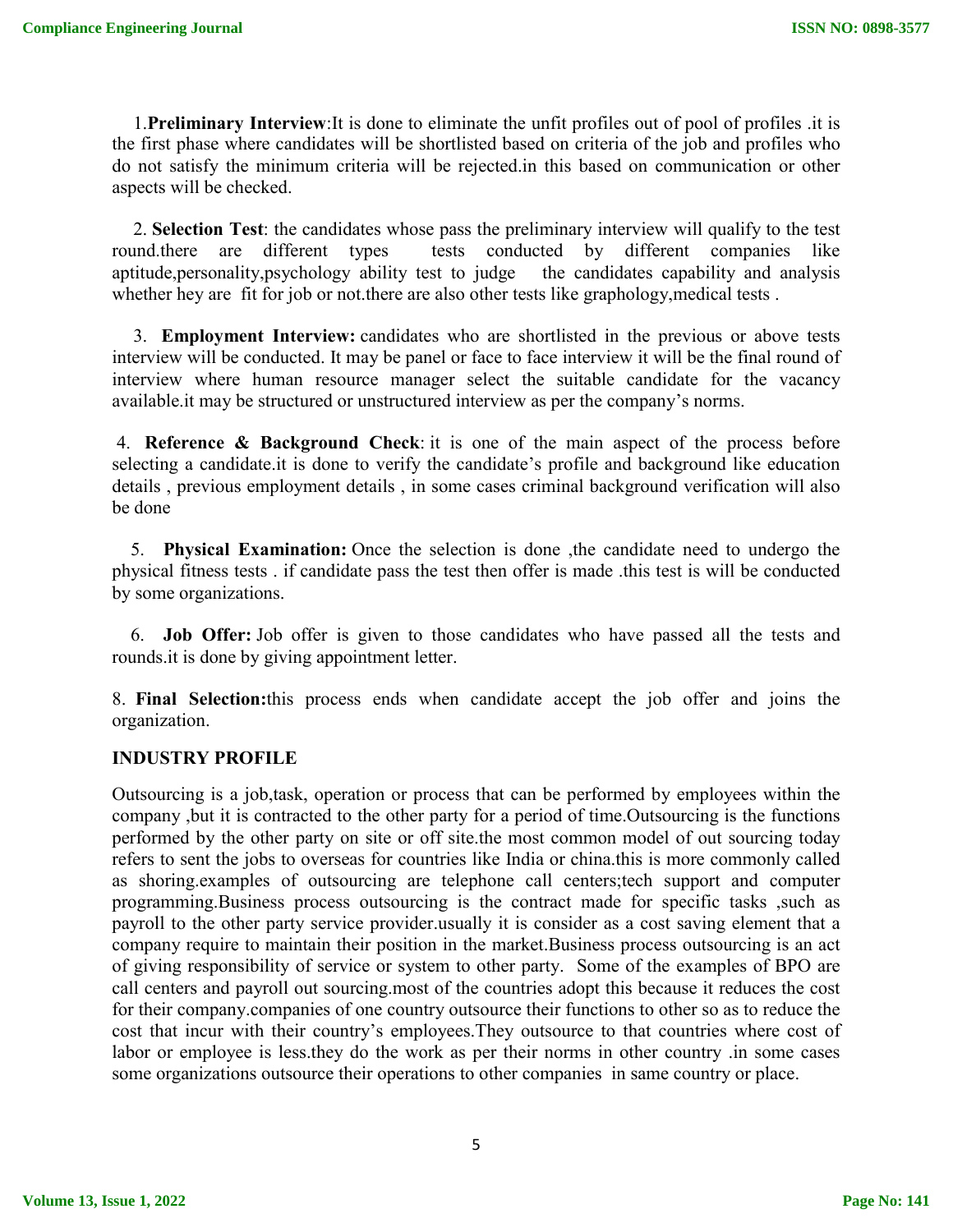1.**Preliminary Interview**:It is done to eliminate the unfit profiles out of pool of profiles .it is the first phase where candidates will be shortlisted based on criteria of the job and profiles who do not satisfy the minimum criteria will be rejected.in this based on communication or other aspects will be checked.

2. **Selection Test**: the candidates whose pass the preliminary interview will qualify to the test round.there are different types tests conducted by different companies like aptitude,personality,psychology ability test to judge the candidates capability and analysis whether hey are fit for job or not there are also other tests like graphology, medical tests.

3. **Employment Interview:** candidates who are shortlisted in the previous or above tests interview will be conducted. It may be panel or face to face interview it will be the final round of interview where human resource manager select the suitable candidate for the vacancy available.it may be structured or unstructured interview as per the company's norms.

4. **Reference & Background Check**: it is one of the main aspect of the process before selecting a candidate.it is done to verify the candidate's profile and background like education details , previous employment details , in some cases criminal background verification will also be done

5. **Physical Examination:** Once the selection is done ,the candidate need to undergo the physical fitness tests . if candidate pass the test then offer is made .this test is will be conducted by some organizations.

6. **Job Offer:** Job offer is given to those candidates who have passed all the tests and rounds.it is done by giving appointment letter.

8. **Final Selection:**this process ends when candidate accept the job offer and joins the organization.

# **INDUSTRY PROFILE**

Outsourcing is a job,task, operation or process that can be performed by employees within the company ,but it is contracted to the other party for a period of time.Outsourcing is the functions performed by the other party on site or off site.the most common model of out sourcing today refers to sent the jobs to overseas for countries like India or china.this is more commonly called as shoring.examples of outsourcing are telephone call centers;tech support and computer programming.Business process outsourcing is the contract made for specific tasks ,such as payroll to the other party service provider.usually it is consider as a cost saving element that a company require to maintain their position in the market.Business process outsourcing is an act of giving responsibility of service or system to other party. Some of the examples of BPO are call centers and payroll out sourcing.most of the countries adopt this because it reduces the cost for their company.companies of one country outsource their functions to other so as to reduce the cost that incur with their country's employees.They outsource to that countries where cost of labor or employee is less.they do the work as per their norms in other country .in some cases some organizations outsource their operations to other companies in same country or place.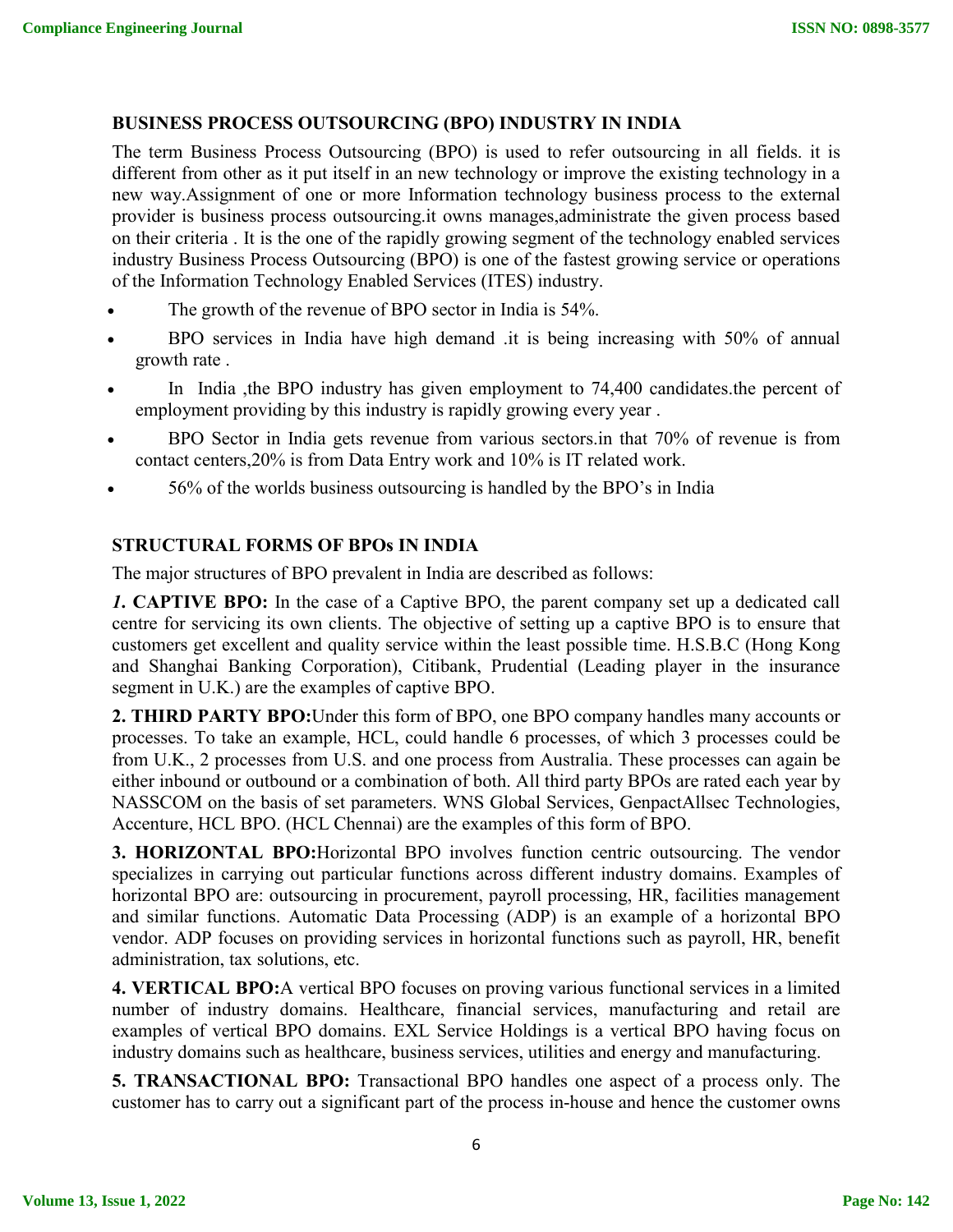# **BUSINESS PROCESS OUTSOURCING (BPO) INDUSTRY IN INDIA**

The term Business Process Outsourcing (BPO) is used to refer outsourcing in all fields. it is different from other as it put itself in an new technology or improve the existing technology in a new way.Assignment of one or more Information technology business process to the external provider is business process outsourcing.it owns manages,administrate the given process based on their criteria . It is the one of the rapidly growing segment of the technology enabled services industry Business Process Outsourcing (BPO) is one of the fastest growing service or operations of the Information Technology Enabled Services (ITES) industry.

- The growth of the revenue of BPO sector in India is 54%.
- BPO services in India have high demand .it is being increasing with 50% of annual growth rate .
- In India ,the BPO industry has given employment to 74,400 candidates.the percent of employment providing by this industry is rapidly growing every year .
- BPO Sector in India gets revenue from various sectors.in that 70% of revenue is from contact centers,20% is from Data Entry work and 10% is IT related work.
- 56% of the worlds business outsourcing is handled by the BPO's in India

# **STRUCTURAL FORMS OF BPOs IN INDIA**

The major structures of BPO prevalent in India are described as follows:

*1***. CAPTIVE BPO:** In the case of a Captive BPO, the parent company set up a dedicated call centre for servicing its own clients. The objective of setting up a captive BPO is to ensure that customers get excellent and quality service within the least possible time. H.S.B.C (Hong Kong and Shanghai Banking Corporation), Citibank, Prudential (Leading player in the insurance segment in U.K.) are the examples of captive BPO.

**2. THIRD PARTY BPO:**Under this form of BPO, one BPO company handles many accounts or processes. To take an example, HCL, could handle 6 processes, of which 3 processes could be from U.K., 2 processes from U.S. and one process from Australia. These processes can again be either inbound or outbound or a combination of both. All third party BPOs are rated each year by NASSCOM on the basis of set parameters. WNS Global Services, GenpactAllsec Technologies, Accenture, HCL BPO. (HCL Chennai) are the examples of this form of BPO.

**3. HORIZONTAL BPO:**Horizontal BPO involves function centric outsourcing. The vendor specializes in carrying out particular functions across different industry domains. Examples of horizontal BPO are: outsourcing in procurement, payroll processing, HR, facilities management and similar functions. Automatic Data Processing (ADP) is an example of a horizontal BPO vendor. ADP focuses on providing services in horizontal functions such as payroll, HR, benefit administration, tax solutions, etc.

**4. VERTICAL BPO:**A vertical BPO focuses on proving various functional services in a limited number of industry domains. Healthcare, financial services, manufacturing and retail are examples of vertical BPO domains. EXL Service Holdings is a vertical BPO having focus on industry domains such as healthcare, business services, utilities and energy and manufacturing.

**5. TRANSACTIONAL BPO:** Transactional BPO handles one aspect of a process only. The customer has to carry out a significant part of the process in-house and hence the customer owns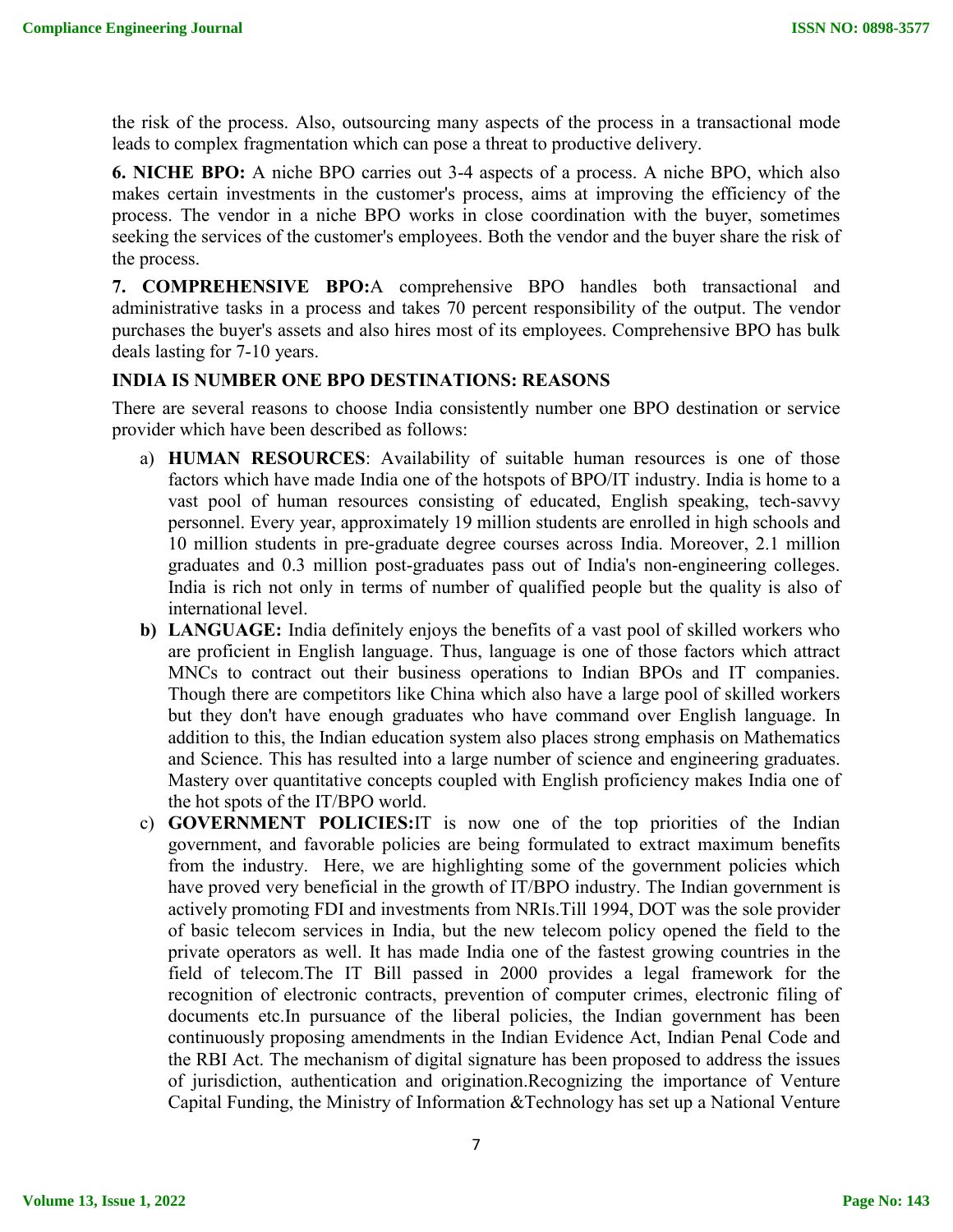the risk of the process. Also, outsourcing many aspects of the process in a transactional mode leads to complex fragmentation which can pose a threat to productive delivery.

**6. NICHE BPO:** A niche BPO carries out 3-4 aspects of a process. A niche BPO, which also makes certain investments in the customer's process, aims at improving the efficiency of the process. The vendor in a niche BPO works in close coordination with the buyer, sometimes seeking the services of the customer's employees. Both the vendor and the buyer share the risk of the process.

**7. COMPREHENSIVE BPO:**A comprehensive BPO handles both transactional and administrative tasks in a process and takes 70 percent responsibility of the output. The vendor purchases the buyer's assets and also hires most of its employees. Comprehensive BPO has bulk deals lasting for 7-10 years.

# **INDIA IS NUMBER ONE BPO DESTINATIONS: REASONS**

There are several reasons to choose India consistently number one BPO destination or service provider which have been described as follows:

- a) **HUMAN RESOURCES**: Availability of suitable human resources is one of those factors which have made India one of the hotspots of BPO/IT industry. India is home to a vast pool of human resources consisting of educated, English speaking, tech-savvy personnel. Every year, approximately 19 million students are enrolled in high schools and 10 million students in pre-graduate degree courses across India. Moreover, 2.1 million graduates and 0.3 million post-graduates pass out of India's non-engineering colleges. India is rich not only in terms of number of qualified people but the quality is also of international level.
- **b) LANGUAGE:** India definitely enjoys the benefits of a vast pool of skilled workers who are proficient in English language. Thus, language is one of those factors which attract MNCs to contract out their business operations to Indian BPOs and IT companies. Though there are competitors like China which also have a large pool of skilled workers but they don't have enough graduates who have command over English language. In addition to this, the Indian education system also places strong emphasis on Mathematics and Science. This has resulted into a large number of science and engineering graduates. Mastery over quantitative concepts coupled with English proficiency makes India one of the hot spots of the IT/BPO world.
- c) **GOVERNMENT POLICIES:**IT is now one of the top priorities of the Indian government, and favorable policies are being formulated to extract maximum benefits from the industry. Here, we are highlighting some of the government policies which have proved very beneficial in the growth of IT/BPO industry. The Indian government is actively promoting FDI and investments from NRIs.Till 1994, DOT was the sole provider of basic telecom services in India, but the new telecom policy opened the field to the private operators as well. It has made India one of the fastest growing countries in the field of telecom.The IT Bill passed in 2000 provides a legal framework for the recognition of electronic contracts, prevention of computer crimes, electronic filing of documents etc.In pursuance of the liberal policies, the Indian government has been continuously proposing amendments in the Indian Evidence Act, Indian Penal Code and the RBI Act. The mechanism of digital signature has been proposed to address the issues of jurisdiction, authentication and origination.Recognizing the importance of Venture Capital Funding, the Ministry of Information &Technology has set up a National Venture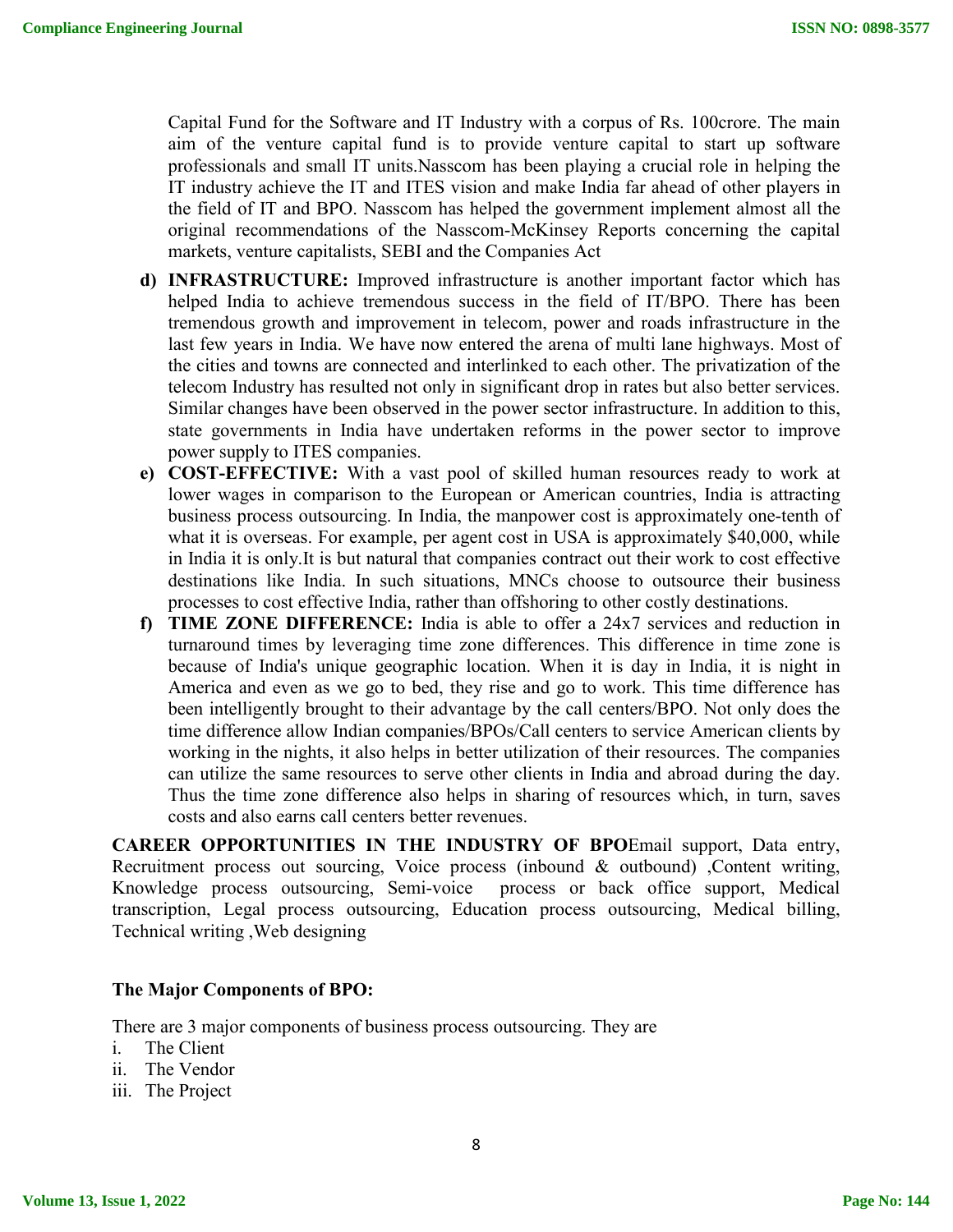Capital Fund for the Software and IT Industry with a corpus of Rs. 100crore. The main aim of the venture capital fund is to provide venture capital to start up software professionals and small IT units.Nasscom has been playing a crucial role in helping the IT industry achieve the IT and ITES vision and make India far ahead of other players in the field of IT and BPO. Nasscom has helped the government implement almost all the original recommendations of the Nasscom-McKinsey Reports concerning the capital markets, venture capitalists, SEBI and the Companies Act

- **d) INFRASTRUCTURE:** Improved infrastructure is another important factor which has helped India to achieve tremendous success in the field of IT/BPO. There has been tremendous growth and improvement in telecom, power and roads infrastructure in the last few years in India. We have now entered the arena of multi lane highways. Most of the cities and towns are connected and interlinked to each other. The privatization of the telecom Industry has resulted not only in significant drop in rates but also better services. Similar changes have been observed in the power sector infrastructure. In addition to this, state governments in India have undertaken reforms in the power sector to improve power supply to ITES companies.
- **e) COST-EFFECTIVE:** With a vast pool of skilled human resources ready to work at lower wages in comparison to the European or American countries, India is attracting business process outsourcing. In India, the manpower cost is approximately one-tenth of what it is overseas. For example, per agent cost in USA is approximately \$40,000, while in India it is only.It is but natural that companies contract out their work to cost effective destinations like India. In such situations, MNCs choose to outsource their business processes to cost effective India, rather than offshoring to other costly destinations.
- **f) TIME ZONE DIFFERENCE:** India is able to offer a 24x7 services and reduction in turnaround times by leveraging time zone differences. This difference in time zone is because of India's unique geographic location. When it is day in India, it is night in America and even as we go to bed, they rise and go to work. This time difference has been intelligently brought to their advantage by the call centers/BPO. Not only does the time difference allow Indian companies/BPOs/Call centers to service American clients by working in the nights, it also helps in better utilization of their resources. The companies can utilize the same resources to serve other clients in India and abroad during the day. Thus the time zone difference also helps in sharing of resources which, in turn, saves costs and also earns call centers better revenues.

**CAREER OPPORTUNITIES IN THE INDUSTRY OF BPO**Email support, Data entry, Recruitment process out sourcing, Voice process (inbound & outbound) ,Content writing, Knowledge process outsourcing, Semi-voice process or back office support, Medical transcription, Legal process outsourcing, Education process outsourcing, Medical billing, Technical writing ,Web designing

#### **The Major Components of BPO:**

There are 3 major components of business process outsourcing. They are

- i. The Client
- ii. The Vendor
- iii. The Project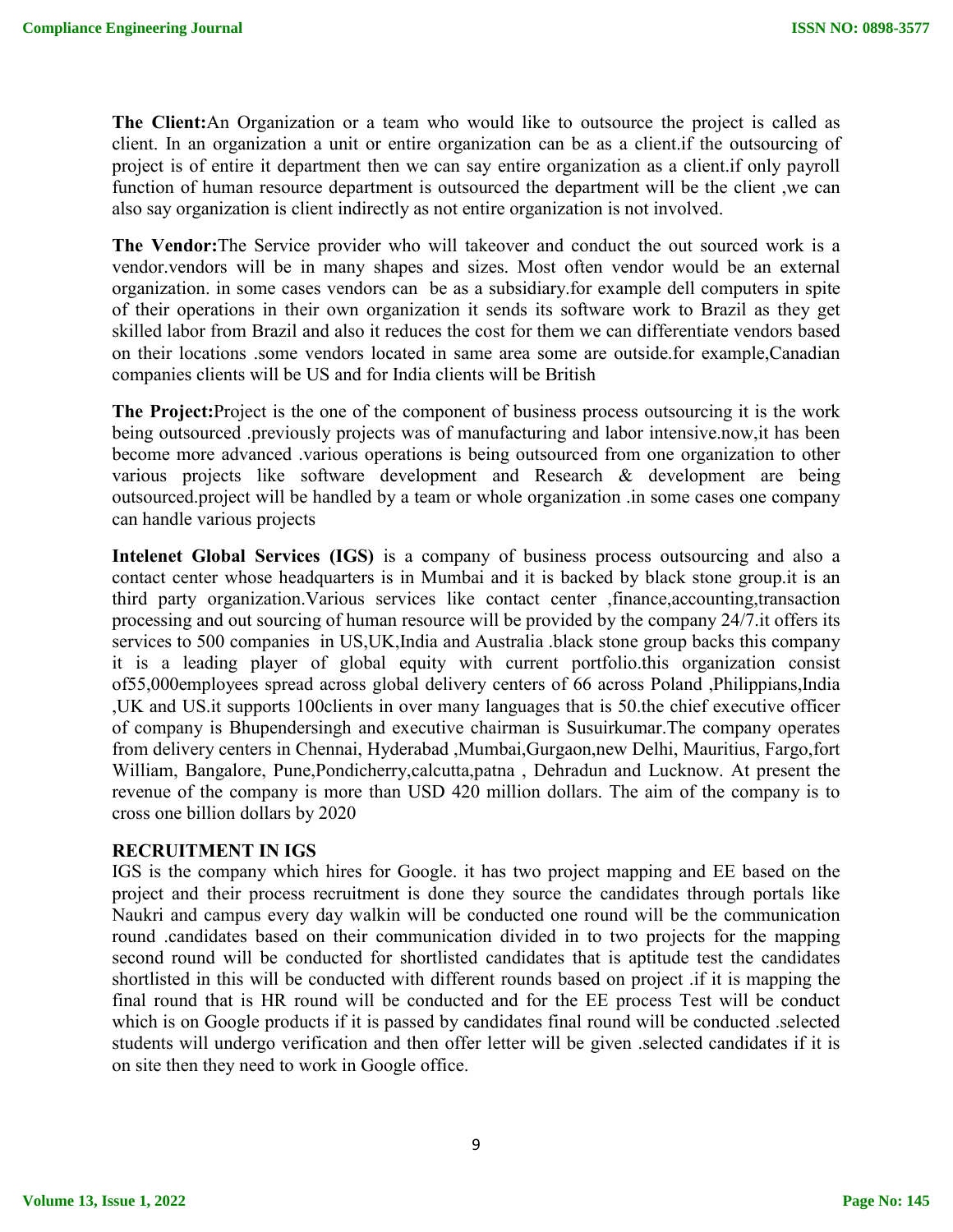**The Client:**An Organization or a team who would like to outsource the project is called as client. In an organization a unit or entire organization can be as a client.if the outsourcing of project is of entire it department then we can say entire organization as a client.if only payroll function of human resource department is outsourced the department will be the client ,we can also say organization is client indirectly as not entire organization is not involved.

**The Vendor:**The Service provider who will takeover and conduct the out sourced work is a vendor.vendors will be in many shapes and sizes. Most often vendor would be an external organization. in some cases vendors can be as a subsidiary.for example dell computers in spite of their operations in their own organization it sends its software work to Brazil as they get skilled labor from Brazil and also it reduces the cost for them we can differentiate vendors based on their locations .some vendors located in same area some are outside.for example,Canadian companies clients will be US and for India clients will be British

**The Project:**Project is the one of the component of business process outsourcing it is the work being outsourced .previously projects was of manufacturing and labor intensive.now,it has been become more advanced .various operations is being outsourced from one organization to other various projects like software development and Research & development are being outsourced.project will be handled by a team or whole organization .in some cases one company can handle various projects

**Intelenet Global Services (IGS)** is a company of business process outsourcing and also a contact center whose headquarters is in Mumbai and it is backed by black stone group.it is an third party organization.Various services like contact center ,finance,accounting,transaction processing and out sourcing of human resource will be provided by the company 24/7.it offers its services to 500 companies in US,UK,India and Australia .black stone group backs this company it is a leading player of global equity with current portfolio.this organization consist of55,000employees spread across global delivery centers of 66 across Poland ,Philippians,India ,UK and US.it supports 100clients in over many languages that is 50.the chief executive officer of company is Bhupendersingh and executive chairman is Susuirkumar.The company operates from delivery centers in Chennai, Hyderabad ,Mumbai,Gurgaon,new Delhi, Mauritius, Fargo,fort William, Bangalore, Pune,Pondicherry,calcutta,patna , Dehradun and Lucknow. At present the revenue of the company is more than USD 420 million dollars. The aim of the company is to cross one billion dollars by 2020

#### **RECRUITMENT IN IGS**

IGS is the company which hires for Google. it has two project mapping and EE based on the project and their process recruitment is done they source the candidates through portals like Naukri and campus every day walkin will be conducted one round will be the communication round .candidates based on their communication divided in to two projects for the mapping second round will be conducted for shortlisted candidates that is aptitude test the candidates shortlisted in this will be conducted with different rounds based on project .if it is mapping the final round that is HR round will be conducted and for the EE process Test will be conduct which is on Google products if it is passed by candidates final round will be conducted .selected students will undergo verification and then offer letter will be given .selected candidates if it is on site then they need to work in Google office.